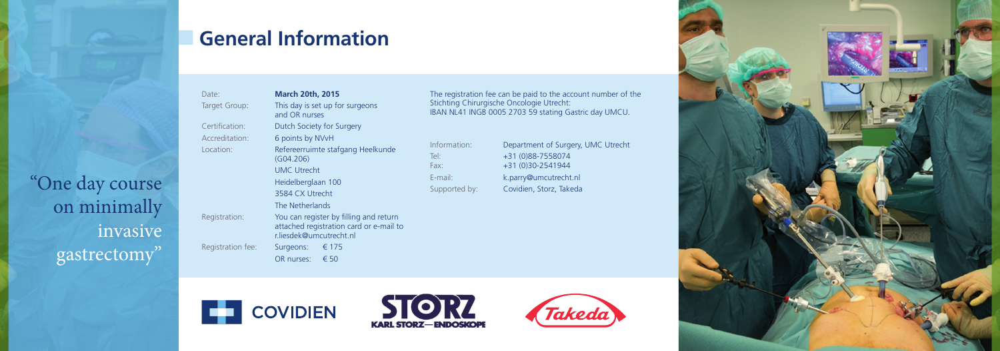

Date: **March 20th, 2015**

Target Group: This day is set up for surgeons and OR nurses Certification: Dutch Society for Surgery Accreditation: 6 points by NVvH Location: Refereerruimte stafgang Heelkunde (G04.206) UMC Utrecht Heidelberglaan 100 3584 CX Utrecht The Netherlands Registration: You can register by filling and return attached registration card or e-mail to r.liesdek@umcutrecht.nl Registration fee: Surgeons: € 175 OR nurses: € 50

Information: Department of Surgery, UMC Utrecht Tel: +31 (0)88-7558074 Fax: +31 (0)30-2541944 E-mail: k.parry@umcutrecht.nl Supported by: Covidien, Storz, Takeda









The registration fee can be paid to the account number of the Stichting Chirurgische Oncologie Utrecht: IBAN NL41 INGB 0005 2703 59 stating Gastric day UMCU.

## **General Information**